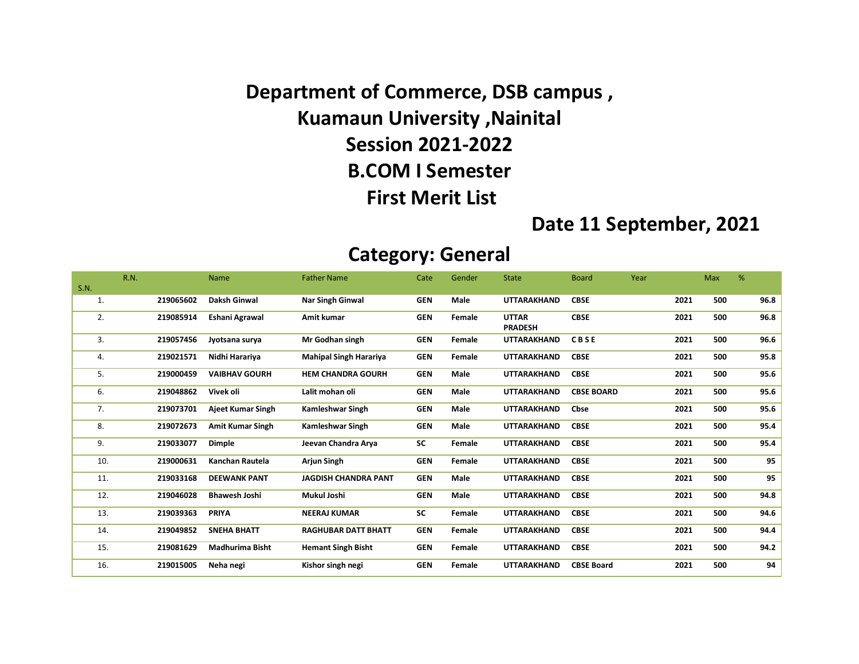Department of Commerce, DSB campus , Kuamaun University ,Nainital Session 2021-2022 B.COM I Semester First Merit List

#### Date 11 September, 2021

#### Category: General

|             | R.N.      | Name                    | <b>Father Name</b>            | Cate       | Gender | <b>State</b>                   | <b>Board</b>      | Year |      | Max | %    |
|-------------|-----------|-------------------------|-------------------------------|------------|--------|--------------------------------|-------------------|------|------|-----|------|
| <b>S.N.</b> |           |                         |                               |            |        |                                |                   |      |      |     |      |
| 1.          | 219065602 | Daksh Ginwal            | <b>Nar Singh Ginwal</b>       | <b>GEN</b> | Male   | <b>UTTARAKHAND</b>             | <b>CBSE</b>       |      | 2021 | 500 | 96.8 |
| 2.          | 219085914 | Eshani Agrawal          | Amit kumar                    | <b>GEN</b> | Female | <b>UTTAR</b><br><b>PRADESH</b> | <b>CBSE</b>       |      | 2021 | 500 | 96.8 |
| 3.          | 219057456 | Jyotsana surya          | Mr Godhan singh               | <b>GEN</b> | Female | <b>UTTARAKHAND</b>             | CBSE              |      | 2021 | 500 | 96.6 |
| 4.          | 219021571 | Nidhi Harariya          | <b>Mahipal Singh Harariya</b> | <b>GEN</b> | Female | <b>UTTARAKHAND</b>             | <b>CBSE</b>       |      | 2021 | 500 | 95.8 |
| 5.          | 219000459 | <b>VAIBHAV GOURH</b>    | <b>HEM CHANDRA GOURH</b>      | <b>GEN</b> | Male   | <b>UTTARAKHAND</b>             | <b>CBSE</b>       |      | 2021 | 500 | 95.6 |
| 6.          | 219048862 | Vivek oli               | Lalit mohan oli               | <b>GEN</b> | Male   | <b>UTTARAKHAND</b>             | <b>CBSE BOARD</b> |      | 2021 | 500 | 95.6 |
| 7.          | 219073701 | Ajeet Kumar Singh       | Kamleshwar Singh              | <b>GEN</b> | Male   | <b>UTTARAKHAND</b>             | Cbse              |      | 2021 | 500 | 95.6 |
| 8.          | 219072673 | <b>Amit Kumar Singh</b> | Kamleshwar Singh              | <b>GEN</b> | Male   | <b>UTTARAKHAND</b>             | <b>CBSE</b>       |      | 2021 | 500 | 95.4 |
| 9.          | 219033077 | <b>Dimple</b>           | Jeevan Chandra Arya           | <b>SC</b>  | Female | <b>UTTARAKHAND</b>             | <b>CBSE</b>       |      | 2021 | 500 | 95.4 |
| 10.         | 219000631 | <b>Kanchan Rautela</b>  | <b>Arjun Singh</b>            | <b>GEN</b> | Female | <b>UTTARAKHAND</b>             | <b>CBSE</b>       |      | 2021 | 500 | 95   |
| 11.         | 219033168 | <b>DEEWANK PANT</b>     | <b>JAGDISH CHANDRA PANT</b>   | <b>GEN</b> | Male   | <b>UTTARAKHAND</b>             | <b>CBSE</b>       |      | 2021 | 500 | 95   |
| 12.         | 219046028 | <b>Bhawesh Joshi</b>    | Mukul Joshi                   | <b>GEN</b> | Male   | <b>UTTARAKHAND</b>             | <b>CBSE</b>       |      | 2021 | 500 | 94.8 |
| 13.         | 219039363 | <b>PRIYA</b>            | <b>NEERAJ KUMAR</b>           | <b>SC</b>  | Female | <b>UTTARAKHAND</b>             | <b>CBSE</b>       |      | 2021 | 500 | 94.6 |
| 14.         | 219049852 | <b>SNEHA BHATT</b>      | <b>RAGHUBAR DATT BHATT</b>    | <b>GEN</b> | Female | <b>UTTARAKHAND</b>             | <b>CBSE</b>       |      | 2021 | 500 | 94.4 |
| 15.         | 219081629 | <b>Madhurima Bisht</b>  | <b>Hemant Singh Bisht</b>     | <b>GEN</b> | Female | <b>UTTARAKHAND</b>             | <b>CBSE</b>       |      | 2021 | 500 | 94.2 |
| 16.         | 219015005 | Neha negi               | Kishor singh negi             | <b>GEN</b> | Female | <b>UTTARAKHAND</b>             | <b>CBSE Board</b> |      | 2021 | 500 | 94   |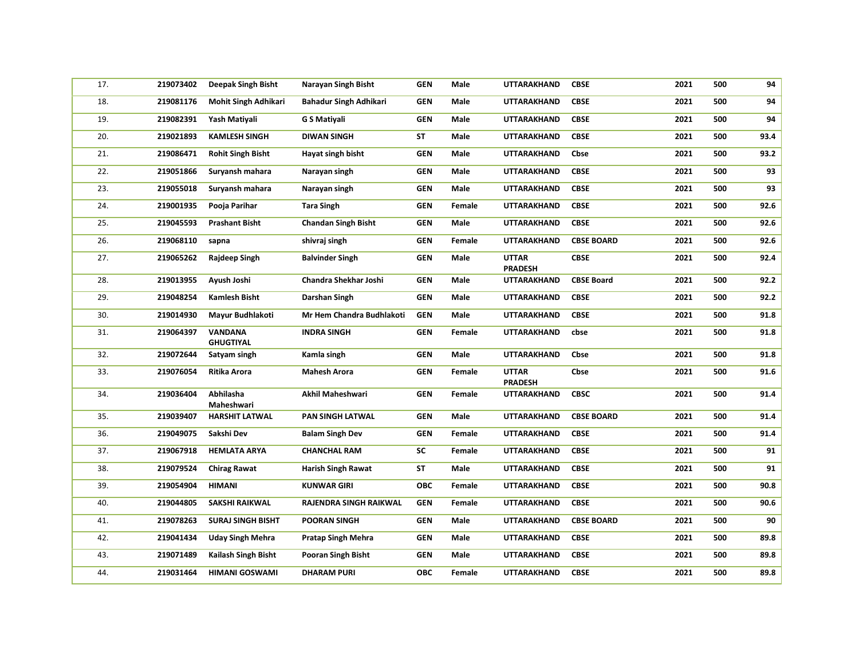| 17. | 219073402 | <b>Deepak Singh Bisht</b>          | Narayan Singh Bisht        | <b>GEN</b> | Male        | UTTARAKHAND                    | <b>CBSE</b>       | 2021 | 500 | 94   |
|-----|-----------|------------------------------------|----------------------------|------------|-------------|--------------------------------|-------------------|------|-----|------|
| 18. | 219081176 | <b>Mohit Singh Adhikari</b>        | Bahadur Singh Adhikari     | <b>GEN</b> | Male        | UTTARAKHAND                    | <b>CBSE</b>       | 2021 | 500 | 94   |
| 19. | 219082391 | Yash Matiyali                      | G S Matiyali               | <b>GEN</b> | Male        | UTTARAKHAND                    | <b>CBSE</b>       | 2021 | 500 | 94   |
| 20. | 219021893 | <b>KAMLESH SINGH</b>               | DIWAN SINGH                | <b>ST</b>  | <b>Male</b> | UTTARAKHAND                    | <b>CBSE</b>       | 2021 | 500 | 93.4 |
| 21. | 219086471 | <b>Rohit Singh Bisht</b>           | Hayat singh bisht          | <b>GEN</b> | Male        | UTTARAKHAND                    | Cbse              | 2021 | 500 | 93.2 |
| 22. | 219051866 | Suryansh mahara                    | Narayan singh              | <b>GEN</b> | Male        | UTTARAKHAND                    | <b>CBSE</b>       | 2021 | 500 | 93   |
| 23. | 219055018 | Suryansh mahara                    | Narayan singh              | <b>GEN</b> | Male        | UTTARAKHAND                    | <b>CBSE</b>       | 2021 | 500 | 93   |
| 24. | 219001935 | Pooja Parihar                      | <b>Tara Singh</b>          | <b>GEN</b> | Female      | UTTARAKHAND                    | <b>CBSE</b>       | 2021 | 500 | 92.6 |
| 25. | 219045593 | <b>Prashant Bisht</b>              | <b>Chandan Singh Bisht</b> | <b>GEN</b> | Male        | UTTARAKHAND                    | <b>CBSE</b>       | 2021 | 500 | 92.6 |
| 26. | 219068110 | sapna                              | shivraj singh              | <b>GEN</b> | Female      | UTTARAKHAND                    | <b>CBSE BOARD</b> | 2021 | 500 | 92.6 |
| 27. | 219065262 | Rajdeep Singh                      | <b>Balvinder Singh</b>     | <b>GEN</b> | Male        | <b>UTTAR</b><br><b>PRADESH</b> | <b>CBSE</b>       | 2021 | 500 | 92.4 |
| 28. | 219013955 | Ayush Joshi                        | Chandra Shekhar Joshi      | <b>GEN</b> | Male        | <b>UTTARAKHAND</b>             | <b>CBSE Board</b> | 2021 | 500 | 92.2 |
| 29. | 219048254 | <b>Kamlesh Bisht</b>               | Darshan Singh              | <b>GEN</b> | Male        | UTTARAKHAND                    | <b>CBSE</b>       | 2021 | 500 | 92.2 |
| 30. | 219014930 | Mayur Budhlakoti                   | Mr Hem Chandra Budhlakoti  | <b>GEN</b> | Male        | UTTARAKHAND                    | <b>CBSE</b>       | 2021 | 500 | 91.8 |
| 31. | 219064397 | <b>VANDANA</b><br><b>GHUGTIYAL</b> | <b>INDRA SINGH</b>         | <b>GEN</b> | Female      | UTTARAKHAND                    | cbse              | 2021 | 500 | 91.8 |
| 32. | 219072644 | Satyam singh                       | Kamla singh                | <b>GEN</b> | Male        | <b>UTTARAKHAND</b>             | Cbse              | 2021 | 500 | 91.8 |
| 33. | 219076054 | Ritika Arora                       | <b>Mahesh Arora</b>        | <b>GEN</b> | Female      | <b>UTTAR</b><br><b>PRADESH</b> | Cbse              | 2021 | 500 | 91.6 |
| 34. | 219036404 | Abhilasha<br>Maheshwari            | Akhil Maheshwari           | <b>GEN</b> | Female      | UTTARAKHAND                    | <b>CBSC</b>       | 2021 | 500 | 91.4 |
| 35. | 219039407 | <b>HARSHIT LATWAL</b>              | PAN SINGH LATWAL           | <b>GEN</b> | Male        | UTTARAKHAND                    | <b>CBSE BOARD</b> | 2021 | 500 | 91.4 |
| 36. | 219049075 | Sakshi Dev                         | <b>Balam Singh Dev</b>     | <b>GEN</b> | Female      | UTTARAKHAND                    | <b>CBSE</b>       | 2021 | 500 | 91.4 |
| 37. | 219067918 | <b>HEMLATA ARYA</b>                | <b>CHANCHAL RAM</b>        | SC         | Female      | UTTARAKHAND                    | <b>CBSE</b>       | 2021 | 500 | 91   |
| 38. | 219079524 | <b>Chirag Rawat</b>                | Harish Singh Rawat         | ST         | Male        | UTTARAKHAND                    | <b>CBSE</b>       | 2021 | 500 | 91   |
| 39. | 219054904 | <b>HIMANI</b>                      | <b>KUNWAR GIRI</b>         | <b>OBC</b> | Female      | UTTARAKHAND                    | <b>CBSE</b>       | 2021 | 500 | 90.8 |
| 40. | 219044805 | <b>SAKSHI RAIKWAL</b>              | RAJENDRA SINGH RAIKWAL     | <b>GEN</b> | Female      | UTTARAKHAND                    | <b>CBSE</b>       | 2021 | 500 | 90.6 |
| 41. | 219078263 | <b>SURAJ SINGH BISHT</b>           | <b>POORAN SINGH</b>        | <b>GEN</b> | Male        | UTTARAKHAND                    | <b>CBSE BOARD</b> | 2021 | 500 | 90   |
| 42. | 219041434 | <b>Uday Singh Mehra</b>            | <b>Pratap Singh Mehra</b>  | <b>GEN</b> | Male        | UTTARAKHAND                    | <b>CBSE</b>       | 2021 | 500 | 89.8 |
| 43. | 219071489 | Kailash Singh Bisht                | Pooran Singh Bisht         | <b>GEN</b> | Male        | UTTARAKHAND                    | <b>CBSE</b>       | 2021 | 500 | 89.8 |
| 44. | 219031464 | <b>HIMANI GOSWAMI</b>              | DHARAM PURI                | <b>OBC</b> | Female      | UTTARAKHAND                    | <b>CBSE</b>       | 2021 | 500 | 89.8 |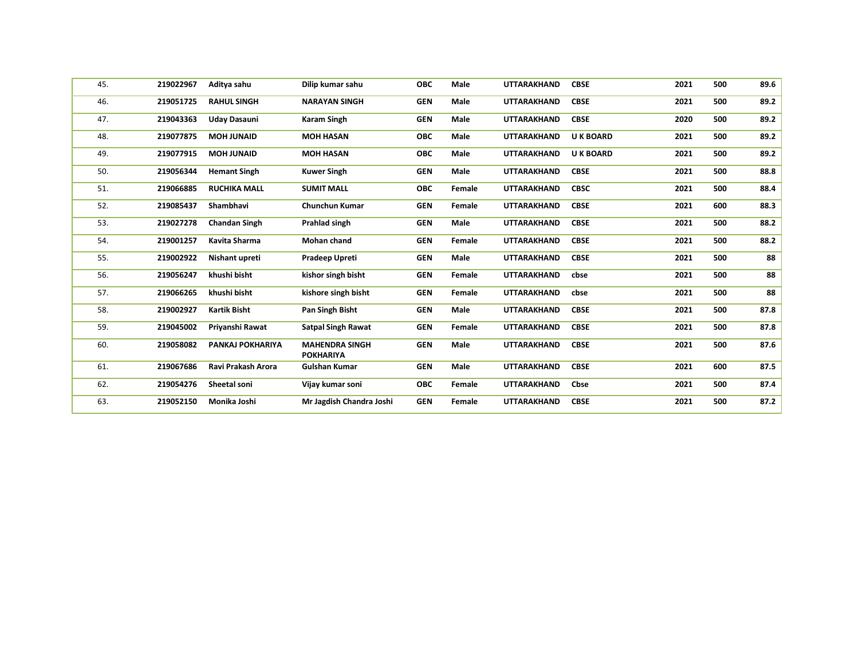| 45. | 219022967 | Aditya sahu          | Dilip kumar sahu                          | <b>OBC</b> | Male   | <b>UTTARAKHAND</b> | <b>CBSE</b>      | 2021 | 500 | 89.6 |
|-----|-----------|----------------------|-------------------------------------------|------------|--------|--------------------|------------------|------|-----|------|
| 46. | 219051725 | <b>RAHUL SINGH</b>   | <b>NARAYAN SINGH</b>                      | <b>GEN</b> | Male   | <b>UTTARAKHAND</b> | <b>CBSE</b>      | 2021 | 500 | 89.2 |
| 47. | 219043363 | <b>Uday Dasauni</b>  | Karam Singh                               | <b>GEN</b> | Male   | UTTARAKHAND        | <b>CBSE</b>      | 2020 | 500 | 89.2 |
| 48. | 219077875 | <b>MOH JUNAID</b>    | <b>MOH HASAN</b>                          | <b>OBC</b> | Male   | <b>UTTARAKHAND</b> | <b>U K BOARD</b> | 2021 | 500 | 89.2 |
| 49. | 219077915 | <b>MOH JUNAID</b>    | <b>MOH HASAN</b>                          | <b>OBC</b> | Male   | UTTARAKHAND        | <b>U K BOARD</b> | 2021 | 500 | 89.2 |
| 50. | 219056344 | <b>Hemant Singh</b>  | <b>Kuwer Singh</b>                        | <b>GEN</b> | Male   | UTTARAKHAND        | <b>CBSE</b>      | 2021 | 500 | 88.8 |
| 51. | 219066885 | <b>RUCHIKA MALL</b>  | <b>SUMIT MALL</b>                         | <b>OBC</b> | Female | <b>UTTARAKHAND</b> | <b>CBSC</b>      | 2021 | 500 | 88.4 |
| 52. | 219085437 | Shambhavi            | <b>Chunchun Kumar</b>                     | <b>GEN</b> | Female | UTTARAKHAND        | <b>CBSE</b>      | 2021 | 600 | 88.3 |
| 53. | 219027278 | <b>Chandan Singh</b> | Prahlad singh                             | <b>GEN</b> | Male   | <b>UTTARAKHAND</b> | <b>CBSE</b>      | 2021 | 500 | 88.2 |
| 54. | 219001257 | Kavita Sharma        | <b>Mohan chand</b>                        | <b>GEN</b> | Female | <b>UTTARAKHAND</b> | <b>CBSE</b>      | 2021 | 500 | 88.2 |
| 55. | 219002922 | Nishant upreti       | Pradeep Upreti                            | <b>GEN</b> | Male   | UTTARAKHAND        | <b>CBSE</b>      | 2021 | 500 | 88   |
| 56. | 219056247 | khushi bisht         | kishor singh bisht                        | <b>GEN</b> | Female | <b>UTTARAKHAND</b> | cbse             | 2021 | 500 | 88   |
| 57. | 219066265 | khushi bisht         | kishore singh bisht                       | <b>GEN</b> | Female | UTTARAKHAND        | cbse             | 2021 | 500 | 88   |
| 58. | 219002927 | <b>Kartik Bisht</b>  | Pan Singh Bisht                           | <b>GEN</b> | Male   | <b>UTTARAKHAND</b> | <b>CBSE</b>      | 2021 | 500 | 87.8 |
| 59. | 219045002 | Priyanshi Rawat      | <b>Satpal Singh Rawat</b>                 | <b>GEN</b> | Female | <b>UTTARAKHAND</b> | <b>CBSE</b>      | 2021 | 500 | 87.8 |
| 60. | 219058082 | PANKAJ POKHARIYA     | <b>MAHENDRA SINGH</b><br><b>POKHARIYA</b> | <b>GEN</b> | Male   | UTTARAKHAND        | <b>CBSE</b>      | 2021 | 500 | 87.6 |
| 61. | 219067686 | Ravi Prakash Arora   | <b>Gulshan Kumar</b>                      | <b>GEN</b> | Male   | <b>UTTARAKHAND</b> | <b>CBSE</b>      | 2021 | 600 | 87.5 |
| 62. | 219054276 | Sheetal soni         | Vijay kumar soni                          | <b>OBC</b> | Female | UTTARAKHAND        | Cbse             | 2021 | 500 | 87.4 |
| 63. | 219052150 | Monika Joshi         | Mr Jagdish Chandra Joshi                  | <b>GEN</b> | Female | UTTARAKHAND        | <b>CBSE</b>      | 2021 | 500 | 87.2 |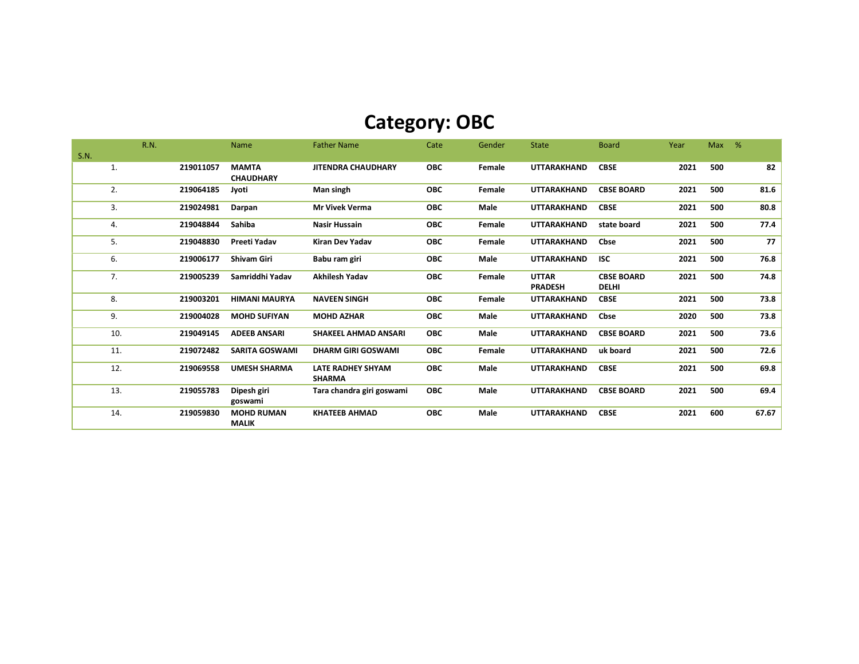# Category: OBC

|      |     | R.N. |           | <b>Name</b>                       | <b>Father Name</b>                        | Cate       | Gender      | <b>State</b>       | <b>Board</b>      | Year | <b>Max</b> | % |       |
|------|-----|------|-----------|-----------------------------------|-------------------------------------------|------------|-------------|--------------------|-------------------|------|------------|---|-------|
| S.N. |     |      |           |                                   |                                           |            |             |                    |                   |      |            |   |       |
|      | 1.  |      | 219011057 | <b>MAMTA</b><br><b>CHAUDHARY</b>  | <b>JITENDRA CHAUDHARY</b>                 | <b>OBC</b> | Female      | <b>UTTARAKHAND</b> | <b>CBSE</b>       | 2021 | 500        |   | 82    |
|      | 2.  |      | 219064185 | Jyoti                             | Man singh                                 | <b>OBC</b> | Female      | <b>UTTARAKHAND</b> | <b>CBSE BOARD</b> | 2021 | 500        |   | 81.6  |
|      | 3.  |      | 219024981 | Darpan                            | <b>Mr Vivek Verma</b>                     | <b>OBC</b> | Male        | <b>UTTARAKHAND</b> | <b>CBSE</b>       | 2021 | 500        |   | 80.8  |
|      | 4.  |      | 219048844 | Sahiba                            | <b>Nasir Hussain</b>                      | <b>OBC</b> | Female      | <b>UTTARAKHAND</b> | state board       | 2021 | 500        |   | 77.4  |
|      | 5.  |      | 219048830 | Preeti Yadav                      | <b>Kiran Dev Yadav</b>                    | <b>OBC</b> | Female      | <b>UTTARAKHAND</b> | Cbse              | 2021 | 500        |   | 77    |
|      | 6.  |      | 219006177 | Shivam Giri                       | Babu ram giri                             | <b>OBC</b> | Male        | UTTARAKHAND        | <b>ISC</b>        | 2021 | 500        |   | 76.8  |
|      | 7.  |      | 219005239 | Samriddhi Yadav                   | <b>Akhilesh Yadav</b>                     | <b>OBC</b> | Female      | <b>UTTAR</b>       | <b>CBSE BOARD</b> | 2021 | 500        |   | 74.8  |
|      |     |      |           |                                   |                                           |            |             | <b>PRADESH</b>     | <b>DELHI</b>      |      |            |   |       |
|      | 8.  |      | 219003201 | <b>HIMANI MAURYA</b>              | <b>NAVEEN SINGH</b>                       | <b>OBC</b> | Female      | UTTARAKHAND        | <b>CBSE</b>       | 2021 | 500        |   | 73.8  |
|      | 9.  |      | 219004028 | <b>MOHD SUFIYAN</b>               | <b>MOHD AZHAR</b>                         | <b>OBC</b> | Male        | UTTARAKHAND        | Cbse              | 2020 | 500        |   | 73.8  |
|      | 10. |      | 219049145 | <b>ADEEB ANSARI</b>               | <b>SHAKEEL AHMAD ANSARI</b>               | <b>OBC</b> | Male        | <b>UTTARAKHAND</b> | <b>CBSE BOARD</b> | 2021 | 500        |   | 73.6  |
|      | 11. |      | 219072482 | <b>SARITA GOSWAMI</b>             | <b>DHARM GIRI GOSWAMI</b>                 | <b>OBC</b> | Female      | <b>UTTARAKHAND</b> | uk board          | 2021 | 500        |   | 72.6  |
|      | 12. |      | 219069558 | <b>UMESH SHARMA</b>               | <b>LATE RADHEY SHYAM</b><br><b>SHARMA</b> | <b>OBC</b> | Male        | UTTARAKHAND        | <b>CBSE</b>       | 2021 | 500        |   | 69.8  |
|      | 13. |      | 219055783 | Dipesh giri<br>goswami            | Tara chandra giri goswami                 | <b>OBC</b> | <b>Male</b> | UTTARAKHAND        | <b>CBSE BOARD</b> | 2021 | 500        |   | 69.4  |
|      | 14. |      | 219059830 | <b>MOHD RUMAN</b><br><b>MALIK</b> | <b>KHATEEB AHMAD</b>                      | <b>OBC</b> | Male        | UTTARAKHAND        | <b>CBSE</b>       | 2021 | 600        |   | 67.67 |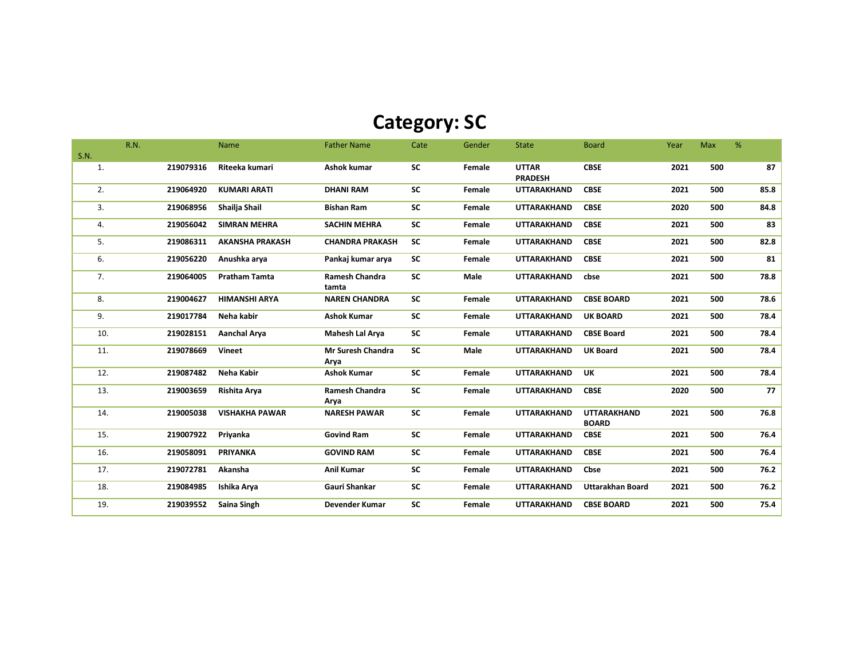## Category: SC

|      | R.N. |           | Name                   | <b>Father Name</b>        | Cate      | Gender | <b>State</b>       | <b>Board</b>            | Year | Max | %    |
|------|------|-----------|------------------------|---------------------------|-----------|--------|--------------------|-------------------------|------|-----|------|
| S.N. |      |           |                        |                           |           |        |                    |                         |      |     |      |
| 1.   |      | 219079316 | Riteeka kumari         | Ashok kumar               | <b>SC</b> | Female | <b>UTTAR</b>       | <b>CBSE</b>             | 2021 | 500 | 87   |
|      |      |           |                        |                           |           |        | <b>PRADESH</b>     |                         |      |     |      |
| 2.   |      | 219064920 | <b>KUMARI ARATI</b>    | <b>DHANI RAM</b>          | <b>SC</b> | Female | <b>UTTARAKHAND</b> | <b>CBSE</b>             | 2021 | 500 | 85.8 |
| 3.   |      | 219068956 | Shailja Shail          | <b>Bishan Ram</b>         | <b>SC</b> | Female | <b>UTTARAKHAND</b> | <b>CBSE</b>             | 2020 | 500 | 84.8 |
| 4.   |      | 219056042 | <b>SIMRAN MEHRA</b>    | <b>SACHIN MEHRA</b>       | <b>SC</b> | Female | <b>UTTARAKHAND</b> | <b>CBSE</b>             | 2021 | 500 | 83   |
| 5.   |      | 219086311 | <b>AKANSHA PRAKASH</b> | <b>CHANDRA PRAKASH</b>    | <b>SC</b> | Female | UTTARAKHAND        | <b>CBSE</b>             | 2021 | 500 | 82.8 |
| 6.   |      | 219056220 | Anushka arya           | Pankaj kumar arya         | <b>SC</b> | Female | <b>UTTARAKHAND</b> | <b>CBSE</b>             | 2021 | 500 | 81   |
| 7.   |      | 219064005 | <b>Pratham Tamta</b>   | Ramesh Chandra            | <b>SC</b> | Male   | <b>UTTARAKHAND</b> | cbse                    | 2021 | 500 | 78.8 |
|      |      |           |                        | tamta                     |           |        |                    |                         |      |     |      |
| 8.   |      | 219004627 | <b>HIMANSHI ARYA</b>   | <b>NAREN CHANDRA</b>      | SC        | Female | <b>UTTARAKHAND</b> | <b>CBSE BOARD</b>       | 2021 | 500 | 78.6 |
| 9.   |      | 219017784 | Neha kabir             | <b>Ashok Kumar</b>        | SC        | Female | <b>UTTARAKHAND</b> | <b>UK BOARD</b>         | 2021 | 500 | 78.4 |
| 10.  |      | 219028151 | <b>Aanchal Arva</b>    | Mahesh Lal Arya           | <b>SC</b> | Female | UTTARAKHAND        | <b>CBSE Board</b>       | 2021 | 500 | 78.4 |
| 11.  |      | 219078669 | Vineet                 | Mr Suresh Chandra<br>Arya | <b>SC</b> | Male   | <b>UTTARAKHAND</b> | <b>UK Board</b>         | 2021 | 500 | 78.4 |
| 12.  |      | 219087482 | Neha Kabir             | <b>Ashok Kumar</b>        | SC        | Female | <b>UTTARAKHAND</b> | <b>UK</b>               | 2021 | 500 | 78.4 |
|      |      |           |                        |                           |           |        |                    |                         |      |     |      |
| 13.  |      | 219003659 | Rishita Arya           | Ramesh Chandra<br>Arya    | <b>SC</b> | Female | UTTARAKHAND        | <b>CBSE</b>             | 2020 | 500 | 77   |
| 14.  |      | 219005038 | <b>VISHAKHA PAWAR</b>  | <b>NARESH PAWAR</b>       | SC        | Female | <b>UTTARAKHAND</b> | <b>UTTARAKHAND</b>      | 2021 | 500 | 76.8 |
|      |      |           |                        |                           |           |        |                    | <b>BOARD</b>            |      |     |      |
| 15.  |      | 219007922 | Priyanka               | <b>Govind Ram</b>         | <b>SC</b> | Female | <b>UTTARAKHAND</b> | <b>CBSE</b>             | 2021 | 500 | 76.4 |
| 16.  |      | 219058091 | <b>PRIYANKA</b>        | <b>GOVIND RAM</b>         | SC        | Female | <b>UTTARAKHAND</b> | <b>CBSE</b>             | 2021 | 500 | 76.4 |
| 17.  |      | 219072781 | Akansha                | <b>Anil Kumar</b>         | <b>SC</b> | Female | <b>UTTARAKHAND</b> | Cbse                    | 2021 | 500 | 76.2 |
| 18.  |      | 219084985 | Ishika Arya            | Gauri Shankar             | <b>SC</b> | Female | <b>UTTARAKHAND</b> | <b>Uttarakhan Board</b> | 2021 | 500 | 76.2 |
| 19.  |      | 219039552 | Saina Singh            | Devender Kumar            | <b>SC</b> | Female | <b>UTTARAKHAND</b> | <b>CBSE BOARD</b>       | 2021 | 500 | 75.4 |